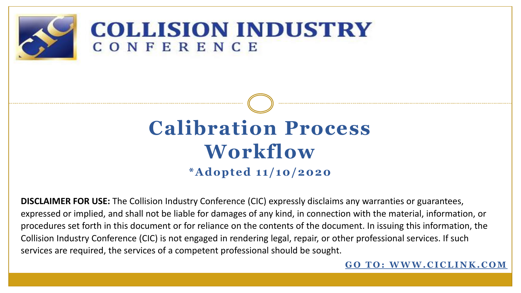

### **COLLISION INDUSTRY** CONFERENCE

# **Calibration Process Workflow \*Adopted 11/10/2020**

**DISCLAIMER FOR USE:** The Collision Industry Conference (CIC) expressly disclaims any warranties or guarantees, expressed or implied, and shall not be liable for damages of any kind, in connection with the material, information, or procedures set forth in this document or for reliance on the contents of the document. In issuing this information, the Collision Industry Conference (CIC) is not engaged in rendering legal, repair, or other professional services. If such services are required, the services of a competent professional should be sought.

**GO TO: WWW.CICLINK.COM**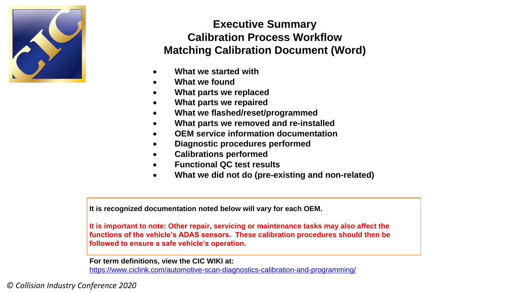

#### **Executive Summary Calibration Process Workflow Matching Calibration Document (Word)**

- **What we started with**
- **What we found**
- **What parts we replaced**
- **What parts we repaired**
- **What we flashed/reset/programmed**
- **What parts we removed and re-installed**
- **OEM service information documentation**
- **Diagnostic procedures performed**
- **Calibrations performed**
- **Functional QC test results**
- **What we did not do (pre-existing and non-related)**

**It is recognized documentation noted below will vary for each OEM.**

**It is important to note: Other repair, servicing or maintenance tasks may also affect the functions of the vehicle's ADAS sensors. These calibration procedures should then be followed to ensure a safe vehicle's operation.**

**For term definitions, view the CIC WIKI at:**

https://www.ciclink.com/automotive-scan-diagnostics-calibration-and-programming/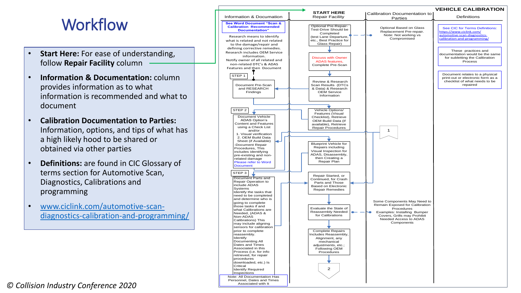### **Workflow**

- **Start Here:** For ease of understanding, follow **Repair Facility** column
- **Information & Documentation:** column provides information as to what information is recommended and what to document
- **Calibration Documentation to Parties:**  Information, options, and tips of what has a high likely hood to be shared or obtained via other parties
- **Definitions:** are found in CIC Glossary of terms section for Automotive Scan, Diagnostics, Calibrations and programming
- www.ciclink.com/automotive-scan[diagnostics-calibration-and-programming/](http://www.ciclink.com/automotive-scan-diagnostics-calibration-and-programming/)

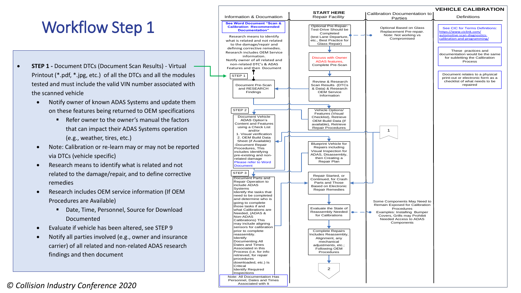## Workflow Step 1

- **STEP 1 -** Document DTCs (Document Scan Results) Virtual Printout (\*.pdf, \*.jpg, etc.) of all the DTCs and all the modules tested and must include the valid VIN number associated with the scanned vehicle
	- Notify owner of known ADAS Systems and update them on these features being returned to OEM specifications
		- Refer owner to the owner's manual the factors that can impact their ADAS Systems operation (e.g., weather, tires, etc.)
	- Note: Calibration or re-learn may or may not be reported via DTCs (vehicle specific)
	- Research means to identify what is related and not related to the damage/repair, and to define corrective remedies
	- Research includes OEM service information (If OEM Procedures are Available)
		- Date, Time, Personnel, Source for Download Documented
	- Evaluate if vehicle has been altered, see STEP 9
	- Notify all parties involved (e.g., owner and insurance carrier) of all related and non-related ADAS research findings and then document

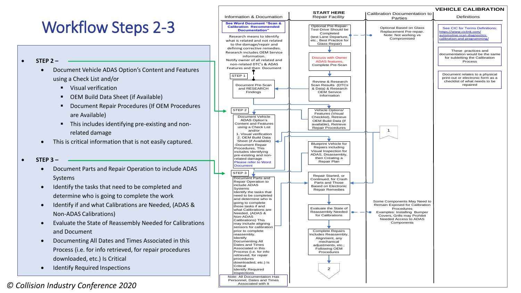## Workflow Steps 2-3

- **STEP 2 –**
	- Document Vehicle ADAS Option's Content and Features using a Check List and/or
		- Visual verification
		- OEM Build Data Sheet (if Available)
		- **Document Repair Procedures (If OEM Procedures** are Available)
		- This includes identifying pre-existing and nonrelated damage
	- This is critical information that is not easily captured.

#### **STEP 3 –**

- Document Parts and Repair Operation to include ADAS Systems
- Identify the tasks that need to be completed and determine who is going to complete the work
- Identify if and what Calibrations are Needed, (ADAS & Non-ADAS Calibrations)
- Evaluate the State of Reassembly Needed for Calibrations and Document
- Documenting All Dates and Times Associated in this Process (i.e. for info retrieved, for repair procedures downloaded, etc.) Is Critical
- Identify Required Inspections

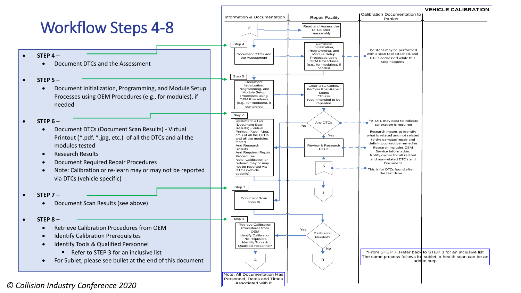